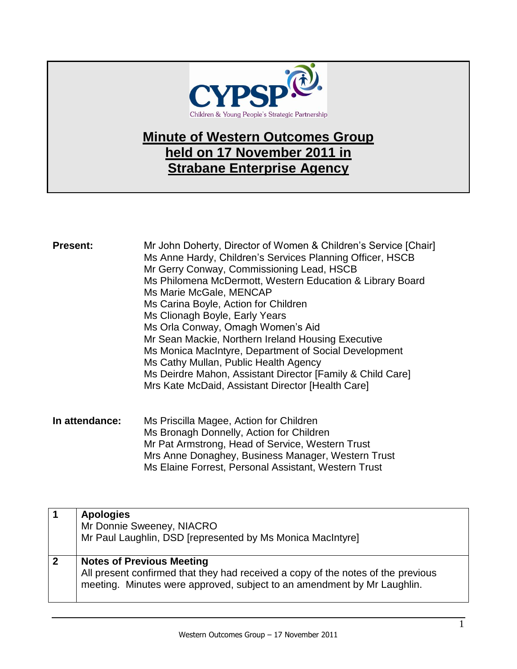

## **Minute of Western Outcomes Group held on 17 November 2011 in Strabane Enterprise Agency**

| <b>Present:</b> | Mr John Doherty, Director of Women & Children's Service [Chair] |
|-----------------|-----------------------------------------------------------------|
|                 | Ms Anne Hardy, Children's Services Planning Officer, HSCB       |
|                 | Mr Gerry Conway, Commissioning Lead, HSCB                       |
|                 | Ms Philomena McDermott, Western Education & Library Board       |
|                 | Ms Marie McGale, MENCAP                                         |
|                 | Ms Carina Boyle, Action for Children                            |
|                 | Ms Clionagh Boyle, Early Years                                  |
|                 | Ms Orla Conway, Omagh Women's Aid                               |
|                 | Mr Sean Mackie, Northern Ireland Housing Executive              |
|                 | Ms Monica MacIntyre, Department of Social Development           |
|                 | Ms Cathy Mullan, Public Health Agency                           |
|                 | Ms Deirdre Mahon, Assistant Director [Family & Child Care]      |
|                 | Mrs Kate McDaid, Assistant Director [Health Care]               |
|                 |                                                                 |
|                 |                                                                 |

**In attendance:** Ms Priscilla Magee, Action for Children Ms Bronagh Donnelly, Action for Children Mr Pat Armstrong, Head of Service, Western Trust Mrs Anne Donaghey, Business Manager, Western Trust Ms Elaine Forrest, Personal Assistant, Western Trust

|              | <b>Apologies</b><br>Mr Donnie Sweeney, NIACRO<br>Mr Paul Laughlin, DSD [represented by Ms Monica MacIntyre]                                                                                     |
|--------------|-------------------------------------------------------------------------------------------------------------------------------------------------------------------------------------------------|
| $\mathbf{2}$ | <b>Notes of Previous Meeting</b><br>All present confirmed that they had received a copy of the notes of the previous<br>meeting. Minutes were approved, subject to an amendment by Mr Laughlin. |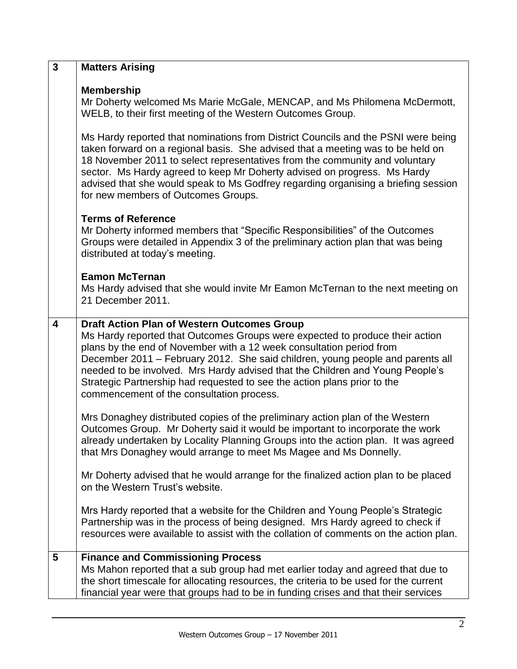| $\mathbf{3}$   | <b>Matters Arising</b>                                                                                                                                                                                                                                                                                                                                                                                                                                                                                 |
|----------------|--------------------------------------------------------------------------------------------------------------------------------------------------------------------------------------------------------------------------------------------------------------------------------------------------------------------------------------------------------------------------------------------------------------------------------------------------------------------------------------------------------|
|                | <b>Membership</b><br>Mr Doherty welcomed Ms Marie McGale, MENCAP, and Ms Philomena McDermott,<br>WELB, to their first meeting of the Western Outcomes Group.                                                                                                                                                                                                                                                                                                                                           |
|                | Ms Hardy reported that nominations from District Councils and the PSNI were being<br>taken forward on a regional basis. She advised that a meeting was to be held on<br>18 November 2011 to select representatives from the community and voluntary<br>sector. Ms Hardy agreed to keep Mr Doherty advised on progress. Ms Hardy<br>advised that she would speak to Ms Godfrey regarding organising a briefing session<br>for new members of Outcomes Groups.                                           |
|                | <b>Terms of Reference</b><br>Mr Doherty informed members that "Specific Responsibilities" of the Outcomes<br>Groups were detailed in Appendix 3 of the preliminary action plan that was being<br>distributed at today's meeting.                                                                                                                                                                                                                                                                       |
|                | <b>Eamon McTernan</b><br>Ms Hardy advised that she would invite Mr Eamon McTernan to the next meeting on<br>21 December 2011.                                                                                                                                                                                                                                                                                                                                                                          |
| 4              | <b>Draft Action Plan of Western Outcomes Group</b><br>Ms Hardy reported that Outcomes Groups were expected to produce their action<br>plans by the end of November with a 12 week consultation period from<br>December 2011 - February 2012. She said children, young people and parents all<br>needed to be involved. Mrs Hardy advised that the Children and Young People's<br>Strategic Partnership had requested to see the action plans prior to the<br>commencement of the consultation process. |
|                | Mrs Donaghey distributed copies of the preliminary action plan of the Western<br>Outcomes Group. Mr Doherty said it would be important to incorporate the work<br>already undertaken by Locality Planning Groups into the action plan. It was agreed<br>that Mrs Donaghey would arrange to meet Ms Magee and Ms Donnelly.                                                                                                                                                                              |
|                | Mr Doherty advised that he would arrange for the finalized action plan to be placed<br>on the Western Trust's website.                                                                                                                                                                                                                                                                                                                                                                                 |
|                | Mrs Hardy reported that a website for the Children and Young People's Strategic<br>Partnership was in the process of being designed. Mrs Hardy agreed to check if<br>resources were available to assist with the collation of comments on the action plan.                                                                                                                                                                                                                                             |
| $5\phantom{1}$ | <b>Finance and Commissioning Process</b><br>Ms Mahon reported that a sub group had met earlier today and agreed that due to<br>the short timescale for allocating resources, the criteria to be used for the current<br>financial year were that groups had to be in funding crises and that their services                                                                                                                                                                                            |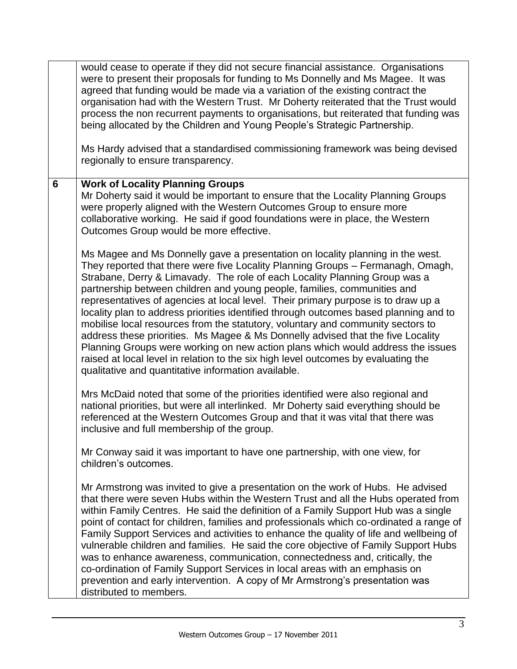|                | would cease to operate if they did not secure financial assistance. Organisations<br>were to present their proposals for funding to Ms Donnelly and Ms Magee. It was<br>agreed that funding would be made via a variation of the existing contract the<br>organisation had with the Western Trust. Mr Doherty reiterated that the Trust would<br>process the non recurrent payments to organisations, but reiterated that funding was<br>being allocated by the Children and Young People's Strategic Partnership.<br>Ms Hardy advised that a standardised commissioning framework was being devised<br>regionally to ensure transparency.                                                                                                                                                                                                                                                                      |
|----------------|-----------------------------------------------------------------------------------------------------------------------------------------------------------------------------------------------------------------------------------------------------------------------------------------------------------------------------------------------------------------------------------------------------------------------------------------------------------------------------------------------------------------------------------------------------------------------------------------------------------------------------------------------------------------------------------------------------------------------------------------------------------------------------------------------------------------------------------------------------------------------------------------------------------------|
| $6\phantom{1}$ | <b>Work of Locality Planning Groups</b><br>Mr Doherty said it would be important to ensure that the Locality Planning Groups<br>were properly aligned with the Western Outcomes Group to ensure more<br>collaborative working. He said if good foundations were in place, the Western<br>Outcomes Group would be more effective.                                                                                                                                                                                                                                                                                                                                                                                                                                                                                                                                                                                |
|                | Ms Magee and Ms Donnelly gave a presentation on locality planning in the west.<br>They reported that there were five Locality Planning Groups - Fermanagh, Omagh,<br>Strabane, Derry & Limavady. The role of each Locality Planning Group was a<br>partnership between children and young people, families, communities and<br>representatives of agencies at local level. Their primary purpose is to draw up a<br>locality plan to address priorities identified through outcomes based planning and to<br>mobilise local resources from the statutory, voluntary and community sectors to<br>address these priorities. Ms Magee & Ms Donnelly advised that the five Locality<br>Planning Groups were working on new action plans which would address the issues<br>raised at local level in relation to the six high level outcomes by evaluating the<br>qualitative and quantitative information available. |
|                | Mrs McDaid noted that some of the priorities identified were also regional and<br>national priorities, but were all interlinked. Mr Doherty said everything should be<br>referenced at the Western Outcomes Group and that it was vital that there was<br>inclusive and full membership of the group.                                                                                                                                                                                                                                                                                                                                                                                                                                                                                                                                                                                                           |
|                | Mr Conway said it was important to have one partnership, with one view, for<br>children's outcomes.                                                                                                                                                                                                                                                                                                                                                                                                                                                                                                                                                                                                                                                                                                                                                                                                             |
|                | Mr Armstrong was invited to give a presentation on the work of Hubs. He advised<br>that there were seven Hubs within the Western Trust and all the Hubs operated from<br>within Family Centres. He said the definition of a Family Support Hub was a single<br>point of contact for children, families and professionals which co-ordinated a range of<br>Family Support Services and activities to enhance the quality of life and wellbeing of<br>vulnerable children and families. He said the core objective of Family Support Hubs<br>was to enhance awareness, communication, connectedness and, critically, the<br>co-ordination of Family Support Services in local areas with an emphasis on<br>prevention and early intervention. A copy of Mr Armstrong's presentation was<br>distributed to members.                                                                                                |